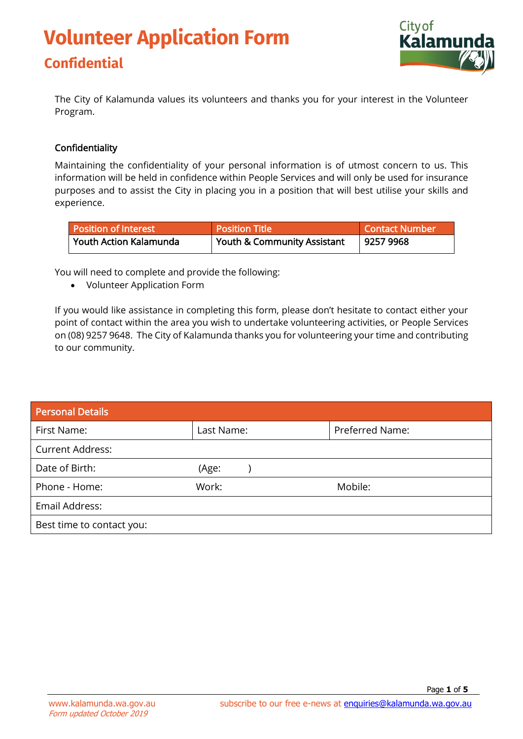## **Volunteer Application Form Confidential**



The City of Kalamunda values its volunteers and thanks you for your interest in the Volunteer Program.

#### Confidentiality

Maintaining the confidentiality of your personal information is of utmost concern to us. This information will be held in confidence within People Services and will only be used for insurance purposes and to assist the City in placing you in a position that will best utilise your skills and experience.

| <b>Position of Interest</b> | <b>Position Title</b>       | Contact Number |
|-----------------------------|-----------------------------|----------------|
| Youth Action Kalamunda      | Youth & Community Assistant | 9257 9968      |

You will need to complete and provide the following:

• Volunteer Application Form

If you would like assistance in completing this form, please don't hesitate to contact either your point of contact within the area you wish to undertake volunteering activities, or People Services on (08) 9257 9648. The City of Kalamunda thanks you for volunteering your time and contributing to our community.

| <b>Personal Details</b>   |            |                 |
|---------------------------|------------|-----------------|
| First Name:               | Last Name: | Preferred Name: |
| <b>Current Address:</b>   |            |                 |
| Date of Birth:            | (Age:      |                 |
| Phone - Home:             | Work:      | Mobile:         |
| Email Address:            |            |                 |
| Best time to contact you: |            |                 |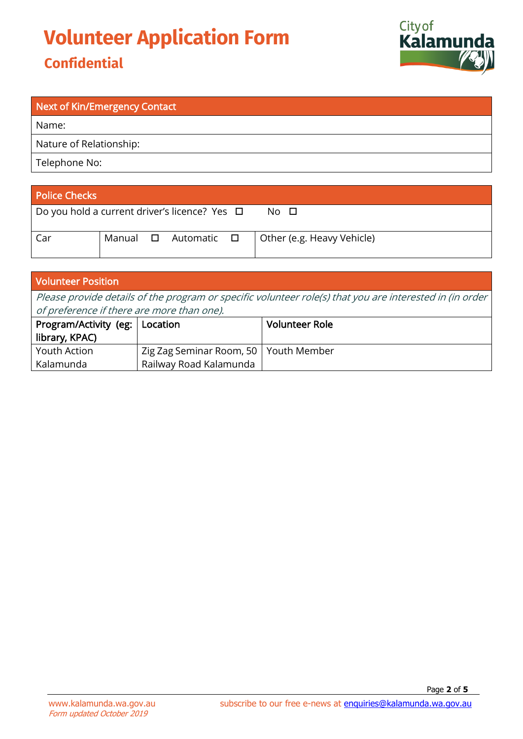# **Volunteer Application Form**

### **Confidential**



| <b>Next of Kin/Emergency Contact</b> |
|--------------------------------------|
| Name:                                |
| Nature of Relationship:              |
| Telephone No:                        |
|                                      |

| <b>Police Checks</b>                                        |               |             |                            |
|-------------------------------------------------------------|---------------|-------------|----------------------------|
| $\vert$ Do you hold a current driver's licence? Yes $\vert$ |               |             | No □                       |
| Car                                                         | Manual $\Box$ | Automatic ロ | Other (e.g. Heavy Vehicle) |

| <b>Volunteer Position</b>                                                                                |                                         |                       |  |
|----------------------------------------------------------------------------------------------------------|-----------------------------------------|-----------------------|--|
| Please provide details of the program or specific volunteer role(s) that you are interested in (in order |                                         |                       |  |
| of preference if there are more than one).                                                               |                                         |                       |  |
| Program/Activity (eg:   Location                                                                         |                                         | <b>Volunteer Role</b> |  |
| library, KPAC)                                                                                           |                                         |                       |  |
| Youth Action                                                                                             | Zig Zag Seminar Room, 50   Youth Member |                       |  |
| Kalamunda                                                                                                | Railway Road Kalamunda                  |                       |  |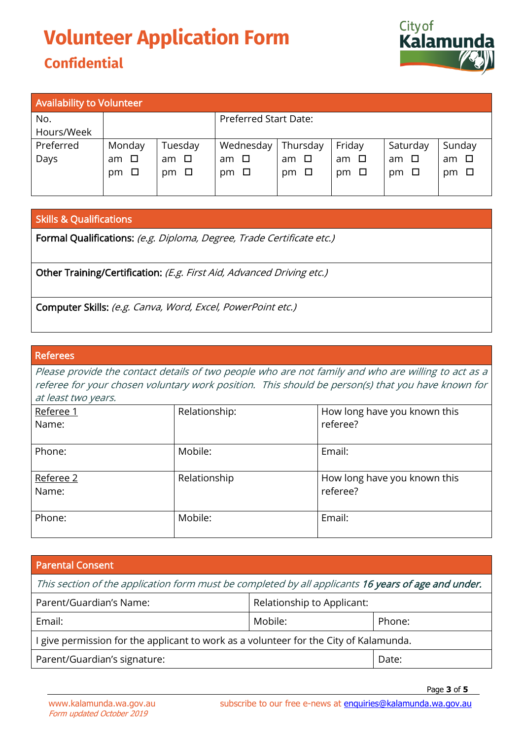### **Volunteer Application Form Confidential**



| <b>Availability to Volunteer</b> |              |           |                              |              |              |           |        |
|----------------------------------|--------------|-----------|------------------------------|--------------|--------------|-----------|--------|
| No.                              |              |           | <b>Preferred Start Date:</b> |              |              |           |        |
| Hours/Week                       |              |           |                              |              |              |           |        |
| Preferred                        | Monday       | Tuesday   | Wednesday                    | Thursday     | Friday       | Saturday  | Sunday |
| Days                             | $\Box$<br>am | am $\Box$ | $\Box$<br>am                 | $\Box$<br>am | $\Box$<br>am | am $\Box$ | am □   |
|                                  | $pm \Box$    | □<br>pm   | $\Box$<br>pm                 | pm $\Box$    | $\Box$<br>pm | $pm \Box$ | pm □   |
|                                  |              |           |                              |              |              |           |        |

#### Skills & Qualifications

Formal Qualifications: (e.g. Diploma, Degree, Trade Certificate etc.)

Other Training/Certification: (E.g. First Aid, Advanced Driving etc.)

Computer Skills: (e.g. Canva, Word, Excel, PowerPoint etc.)

#### Referees

Please provide the contact details of two people who are not family and who are willing to act as a referee for your chosen voluntary work position. This should be person(s) that you have known for at least two years.

| Referee 1<br>Name: | Relationship: | How long have you known this<br>referee? |
|--------------------|---------------|------------------------------------------|
| Phone:             | Mobile:       | Email:                                   |
| Referee 2<br>Name: | Relationship  | How long have you known this<br>referee? |
| Phone:             | Mobile:       | Email:                                   |

#### Parental Consent

| This section of the application form must be completed by all applicants 16 years of age and under. |                            |        |  |  |
|-----------------------------------------------------------------------------------------------------|----------------------------|--------|--|--|
| Parent/Guardian's Name:                                                                             | Relationship to Applicant: |        |  |  |
| Email:                                                                                              | Mobile:                    | Phone: |  |  |
| I give permission for the applicant to work as a volunteer for the City of Kalamunda.               |                            |        |  |  |
| Parent/Guardian's signature:                                                                        |                            | Date:  |  |  |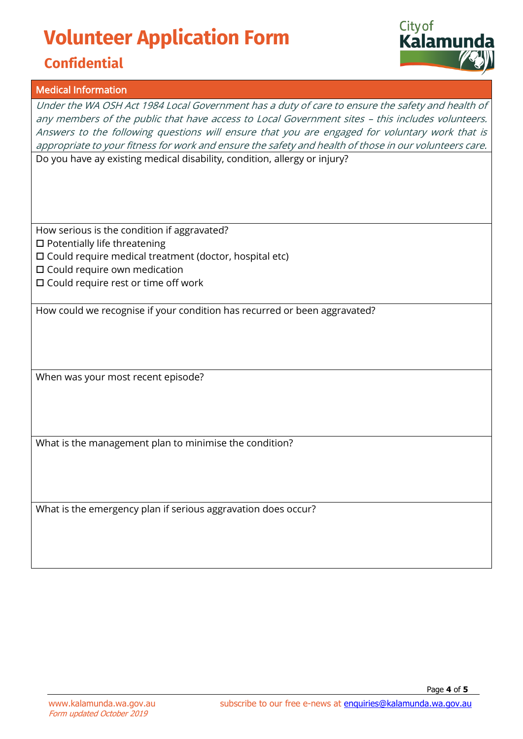# **Volunteer Application Form**

### **Confidential**

#### Medical Information

Under the WA OSH Act 1984 Local Government has a duty of care to ensure the safety and health of any members of the public that have access to Local Government sites – this includes volunteers. Answers to the following questions will ensure that you are engaged for voluntary work that is appropriate to your fitness for work and ensure the safety and health of those in our volunteers care. Do you have ay existing medical disability, condition, allergy or injury?

How serious is the condition if aggravated?  $\square$  Potentially life threatening Could require medical treatment (doctor, hospital etc)

- $\square$  Could require own medication
- $\square$  Could require rest or time off work

How could we recognise if your condition has recurred or been aggravated?

When was your most recent episode?

What is the management plan to minimise the condition?

What is the emergency plan if serious aggravation does occur?

Page **4** of **5**